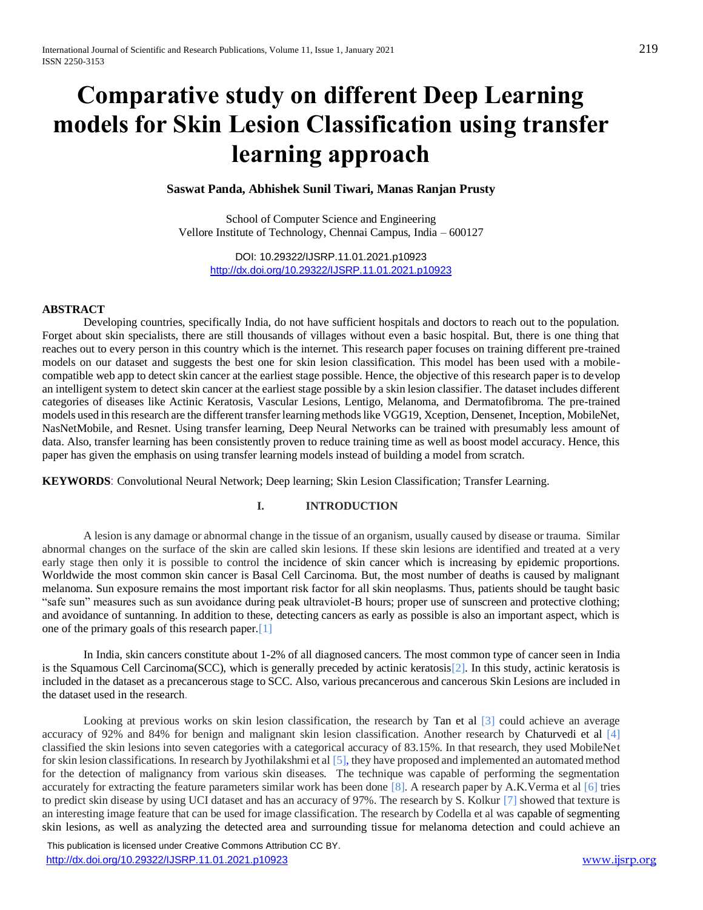# **Comparative study on different Deep Learning models for Skin Lesion Classification using transfer learning approach**

# **Saswat Panda, Abhishek Sunil Tiwari, Manas Ranjan Prusty**

School of Computer Science and Engineering Vellore Institute of Technology, Chennai Campus, India – 600127

> DOI: 10.29322/IJSRP.11.01.2021.p10923 <http://dx.doi.org/10.29322/IJSRP.11.01.2021.p10923>

# **ABSTRACT**

Developing countries, specifically India, do not have sufficient hospitals and doctors to reach out to the population. Forget about skin specialists, there are still thousands of villages without even a basic hospital. But, there is one thing that reaches out to every person in this country which is the internet. This research paper focuses on training different pre-trained models on our dataset and suggests the best one for skin lesion classification. This model has been used with a mobilecompatible web app to detect skin cancer at the earliest stage possible. Hence, the objective of this research paper is to develop an intelligent system to detect skin cancer at the earliest stage possible by a skin lesion classifier. The dataset includes different categories of diseases like Actinic Keratosis, Vascular Lesions, Lentigo, Melanoma, and Dermatofibroma. The pre-trained models used in this research are the different transfer learning methods like VGG19, Xception, Densenet, Inception, MobileNet, NasNetMobile, and Resnet. Using transfer learning, Deep Neural Networks can be trained with presumably less amount of data. Also, transfer learning has been consistently proven to reduce training time as well as boost model accuracy. Hence, this paper has given the emphasis on using transfer learning models instead of building a model from scratch.

**KEYWORDS**: Convolutional Neural Network; Deep learning; Skin Lesion Classification; Transfer Learning.

## **I. INTRODUCTION**

A lesion is any damage or abnormal change in the tissue of an organism, usually caused by disease or trauma. Similar abnormal changes on the surface of the skin are called skin lesions. If these skin lesions are identified and treated at a very early stage then only it is possible to control the incidence of skin cancer which is increasing by epidemic proportions. Worldwide the most common skin cancer is Basal Cell Carcinoma. But, the most number of deaths is caused by malignant melanoma. Sun exposure remains the most important risk factor for all skin neoplasms. Thus, patients should be taught basic "safe sun" measures such as sun avoidance during peak ultraviolet-B hours; proper use of sunscreen and protective clothing; and avoidance of suntanning. In addition to these, detecting cancers as early as possible is also an important aspect, which is one of the primary goals of this research paper.[1]

In India, skin cancers constitute about 1-2% of all diagnosed cancers. The most common type of cancer seen in India is the Squamous Cell Carcinoma(SCC), which is generally preceded by actinic keratosis[2]. In this study, actinic keratosis is included in the dataset as a precancerous stage to SCC. Also, various precancerous and cancerous Skin Lesions are included in the dataset used in the research.

Looking at previous works on skin lesion classification, the research by Tan et al [3] could achieve an average accuracy of 92% and 84% for benign and malignant skin lesion classification. Another research by Chaturvedi et al [4] classified the skin lesions into seven categories with a categorical accuracy of 83.15%. In that research, they used MobileNet for skin lesion classifications. In research by Jyothilakshmi et al [5], they have proposed and implemented an automated method for the detection of malignancy from various skin diseases. The technique was capable of performing the segmentation accurately for extracting the feature parameters similar work has been done  $\lceil 8 \rceil$ . A research paper by A.K.Verma et al  $\lceil 6 \rceil$  tries to predict skin disease by using UCI dataset and has an accuracy of 97%. The research by S. Kolkur [7] showed that texture is an interesting image feature that can be used for image classification. The research by Codella et al was capable of segmenting skin lesions, as well as analyzing the detected area and surrounding tissue for melanoma detection and could achieve an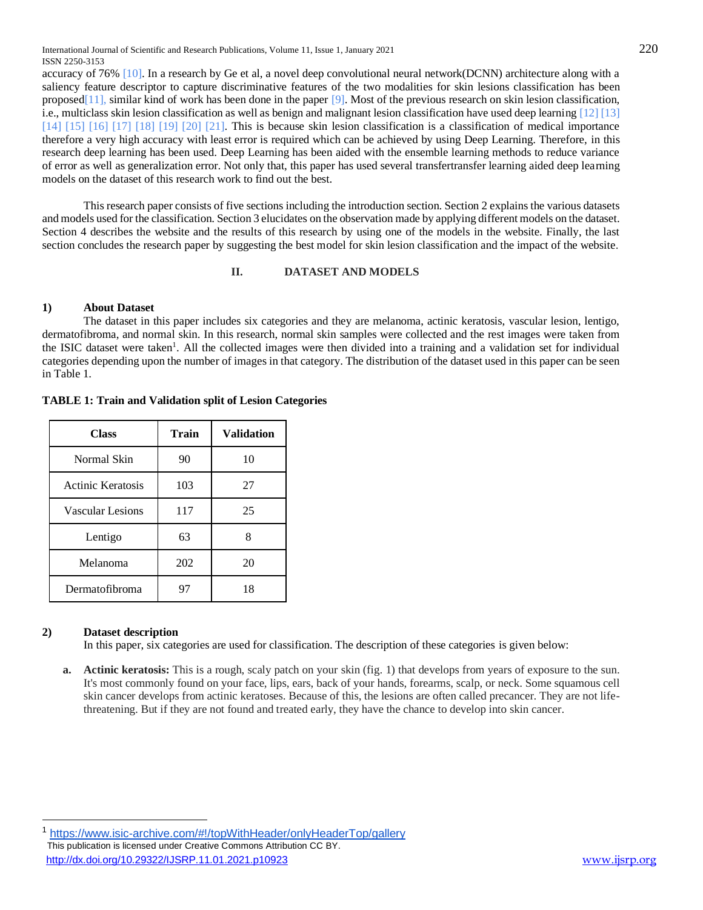accuracy of 76% [10]. In a research by Ge et al, a novel deep convolutional neural network(DCNN) architecture along with a saliency feature descriptor to capture discriminative features of the two modalities for skin lesions classification has been proposed[11], similar kind of work has been done in the paper [9]. Most of the previous research on skin lesion classification, i.e., multiclass skin lesion classification as well as benign and malignant lesion classification have used deep learning [12] [13]  $[14]$   $[15]$   $[16]$   $[17]$   $[18]$   $[19]$   $[20]$   $[21]$ . This is because skin lesion classification is a classification of medical importance therefore a very high accuracy with least error is required which can be achieved by using Deep Learning. Therefore, in this research deep learning has been used. Deep Learning has been aided with the ensemble learning methods to reduce variance of error as well as generalization error. Not only that, this paper has used several transfertransfer learning aided deep learning models on the dataset of this research work to find out the best.

This research paper consists of five sections including the introduction section. Section 2 explains the various datasets and models used for the classification. Section 3 elucidates on the observation made by applying different models on the dataset. Section 4 describes the website and the results of this research by using one of the models in the website. Finally, the last section concludes the research paper by suggesting the best model for skin lesion classification and the impact of the website.

# **II. DATASET AND MODELS**

# **1) About Dataset**

The dataset in this paper includes six categories and they are melanoma, actinic keratosis, vascular lesion, lentigo, dermatofibroma, and normal skin. In this research, normal skin samples were collected and the rest images were taken from the ISIC dataset were taken<sup>1</sup>. All the collected images were then divided into a training and a validation set for individual categories depending upon the number of images in that category. The distribution of the dataset used in this paper can be seen in Table 1.

**TABLE 1: Train and Validation split of Lesion Categories**

| <b>Class</b>             | <b>Train</b> | <b>Validation</b> |  |  |
|--------------------------|--------------|-------------------|--|--|
| Normal Skin              | 90           | 10                |  |  |
| <b>Actinic Keratosis</b> | 103          | 27                |  |  |
| <b>Vascular Lesions</b>  | 117          | 25                |  |  |
| Lentigo                  | 63           | 8                 |  |  |
| Melanoma                 | 202          | 20                |  |  |
| Dermatofibroma           | 97           | 18                |  |  |

# **2) Dataset description**

In this paper, six categories are used for classification. The description of these categories is given below:

**a. Actinic keratosis:** This is a rough, scaly patch on your skin (fig. 1) that develops from years of exposure to the sun. It's most commonly found on your face, lips, ears, back of your hands, forearms, scalp, or neck. Some squamous cell skin cancer develops from actinic keratoses. Because of this, the lesions are often called precancer. They are not lifethreatening. But if they are not found and treated early, they have the chance to develop into skin cancer.

 This publication is licensed under Creative Commons Attribution CC BY. <http://dx.doi.org/10.29322/IJSRP.11.01.2021.p10923> [www.ijsrp.org](http://ijsrp.org/) <https://www.isic-archive.com/#!/topWithHeader/onlyHeaderTop/gallery>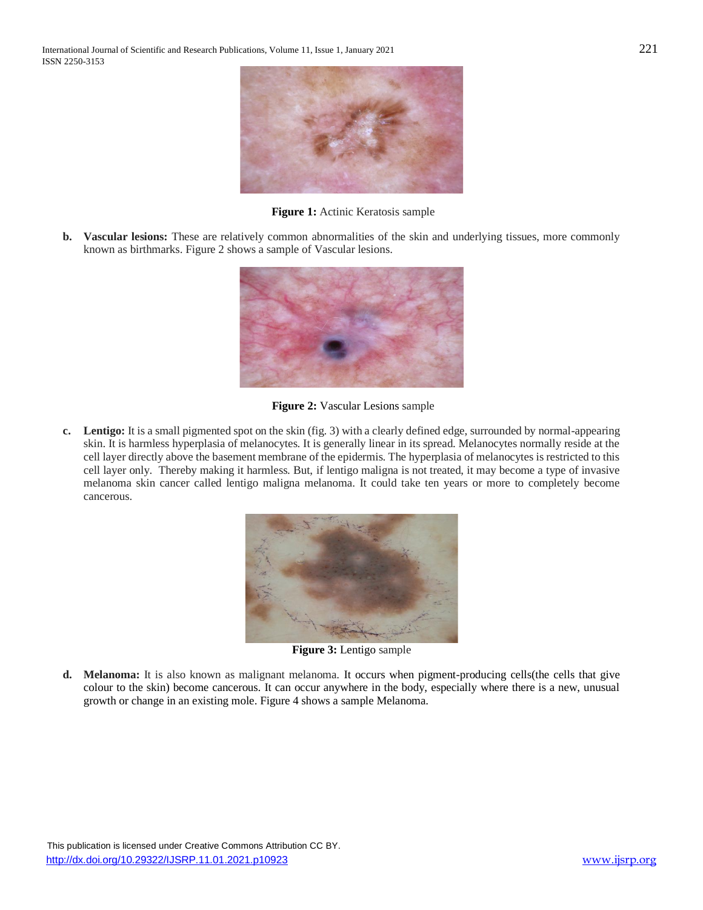

**Figure 1:** Actinic Keratosis sample

**b. Vascular lesions:** These are relatively common abnormalities of the skin and underlying tissues, more commonly known as birthmarks. Figure 2 shows a sample of Vascular lesions.



**Figure 2:** Vascular Lesions sample

**c. Lentigo:** It is a small pigmented spot on the skin (fig. 3) with a clearly defined edge, surrounded by normal-appearing skin. It is harmless hyperplasia of melanocytes. It is generally linear in its spread. Melanocytes normally reside at the cell layer directly above the basement membrane of the epidermis. The hyperplasia of melanocytes is restricted to this cell layer only. Thereby making it harmless. But, if lentigo maligna is not treated, it may become a type of invasive melanoma skin cancer called lentigo maligna melanoma. It could take ten years or more to completely become cancerous.



**Figure 3:** Lentigo sample

**d. Melanoma:** It is also known as malignant melanoma. It occurs when pigment-producing cells(the cells that give colour to the skin) become cancerous. It can occur anywhere in the body, especially where there is a new, unusual growth or change in an existing mole. Figure 4 shows a sample Melanoma.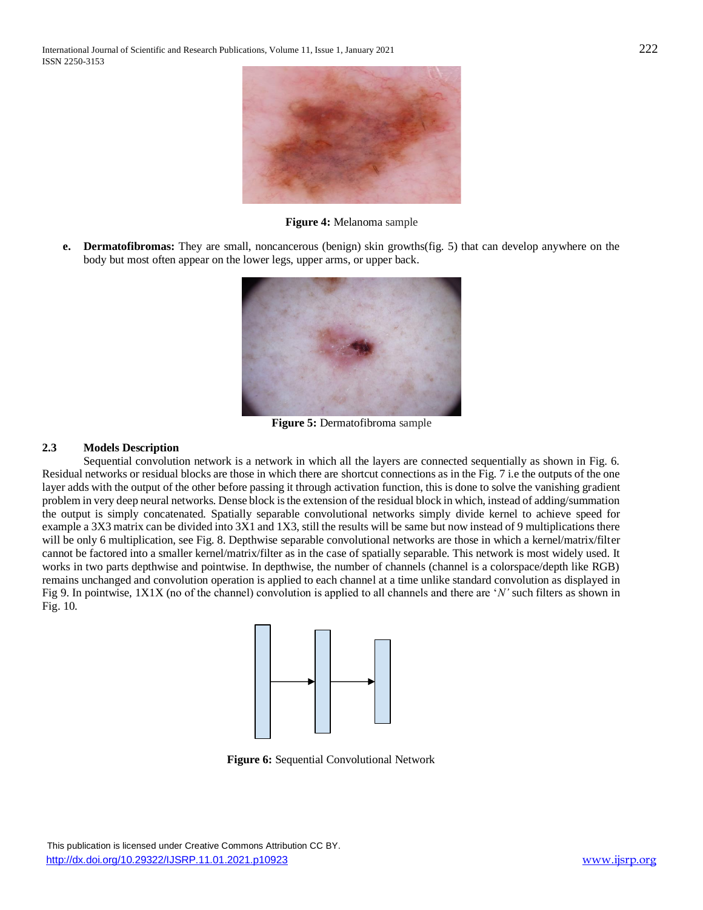

**Figure 4:** Melanoma sample

**e. Dermatofibromas:** They are small, noncancerous (benign) skin growths(fig. 5) that can develop anywhere on the body but most often appear on the lower legs, upper arms, or upper back.



**Figure 5:** Dermatofibroma sample

## **2.3 Models Description**

Sequential convolution network is a network in which all the layers are connected sequentially as shown in Fig. 6. Residual networks or residual blocks are those in which there are shortcut connections as in the Fig. 7 i.e the outputs of the one layer adds with the output of the other before passing it through activation function, this is done to solve the vanishing gradient problem in very deep neural networks. Dense block is the extension of the residual block in which, instead of adding/summation the output is simply concatenated. Spatially separable convolutional networks simply divide kernel to achieve speed for example a 3X3 matrix can be divided into 3X1 and 1X3, still the results will be same but now instead of 9 multiplications there will be only 6 multiplication, see Fig. 8. Depthwise separable convolutional networks are those in which a kernel/matrix/filter cannot be factored into a smaller kernel/matrix/filter as in the case of spatially separable. This network is most widely used. It works in two parts depthwise and pointwise. In depthwise, the number of channels (channel is a colorspace/depth like RGB) remains unchanged and convolution operation is applied to each channel at a time unlike standard convolution as displayed in Fig 9. In pointwise, 1X1X (no of the channel) convolution is applied to all channels and there are '*N'* such filters as shown in Fig. 10.



**Figure 6:** Sequential Convolutional Network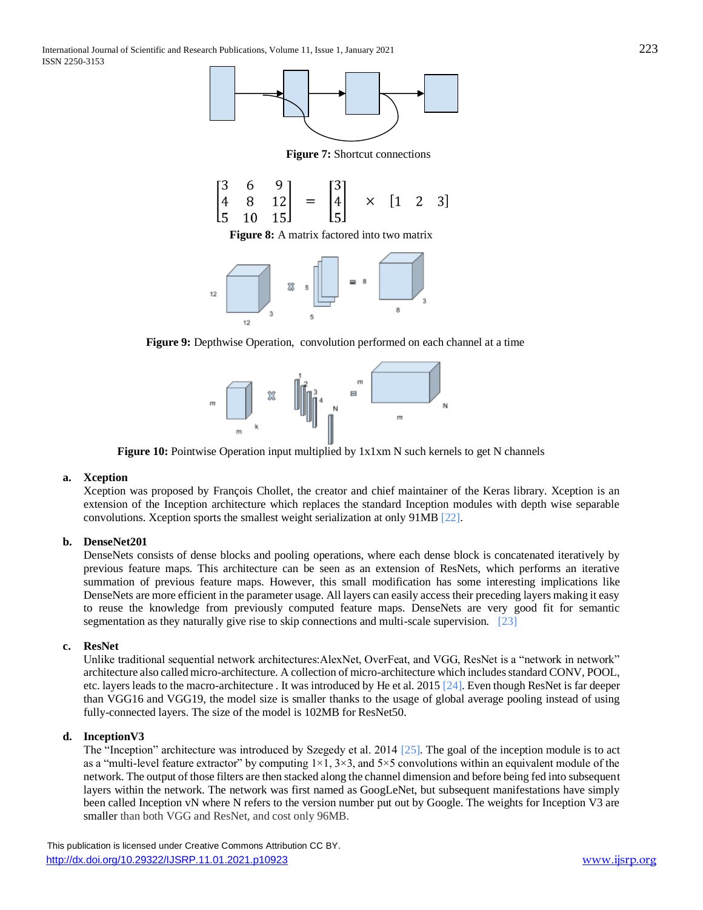

**Figure 7:** Shortcut connections

$$
\begin{bmatrix} 3 & 6 & 9 \ 4 & 8 & 12 \ 5 & 10 & 15 \end{bmatrix} = \begin{bmatrix} 3 \ 4 \ 5 \end{bmatrix} \times [1 \ 2 \ 3]
$$

**Figure 8:** A matrix factored into two matrix



**Figure 9:** Depthwise Operation, convolution performed on each channel at a time



**Figure 10:** Pointwise Operation input multiplied by  $1x1xm$  N such kernels to get N channels

# **a. Xception**

Xception was proposed by [François Chollet,](https://twitter.com/fchollet) the creator and chief maintainer of the Keras library. Xception is an extension of the Inception architecture which replaces the standard Inception modules with depth wise separable convolutions. Xception sports the smallest weight serialization at only 91MB [\[22\].](https://www.zotero.org/google-docs/?xQcrHA)

# **b. DenseNet201**

DenseNets consists of dense blocks and pooling operations, where each dense block is concatenated iteratively by previous feature maps. This architecture can be seen as an extension of ResNets, which performs an iterative summation of previous feature maps. However, this small modification has some interesting implications like DenseNets are more efficient in the parameter usage. All layers can easily access their preceding layers making it easy to reuse the knowledge from previously computed feature maps. DenseNets are very good fit for semantic segmentation as they naturally give rise to skip connections and multi-scale supervision. [\[23\]](https://www.zotero.org/google-docs/?QIf7qA)

## **c. ResNet**

Unlike traditional sequential network architectures: AlexNet, OverFeat, and VGG, ResNet is a "network in network" architecture also called micro-architecture. A collection of micro-architecture which includes standard CONV, POOL, etc. layers leads to the macro-architecture . It was introduced by He et al. 2015 [24]. Even though ResNet is far deeper than VGG16 and VGG19, the model size is smaller thanks to the usage of global average pooling instead of using fully-connected layers. The size of the model is 102MB for ResNet50.

## **d. InceptionV3**

The "Inception" architecture was introduced by Szegedy et al. 2014 [25]. The goal of the inception module is to act as a "multi-level feature extractor" by computing  $1\times1$ ,  $3\times3$ , and  $5\times5$  convolutions within an equivalent module of the network. The output of those filters are then stacked along the channel dimension and before being fed into subsequent layers within the network. The network was first named as GoogLeNet, but subsequent manifestations have simply been called Inception vN where N refers to the version number put out by Google. The weights for Inception V3 are smaller than both VGG and ResNet, and cost only 96MB.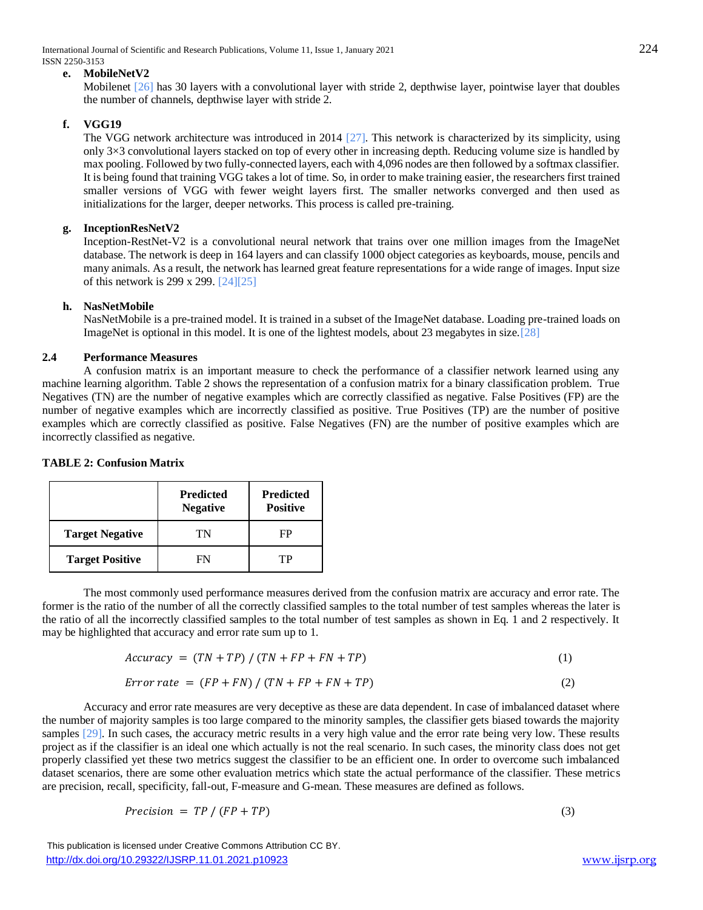International Journal of Scientific and Research Publications, Volume 11, Issue 1, January 2021 224 ISSN 2250-3153

## **e. MobileNetV2**

Mobilenet [26] has 30 layers with a convolutional layer with stride 2, depthwise layer, pointwise layer that doubles the number of channels, depthwise layer with stride 2.

# **f. VGG19**

The VGG network architecture was introduced in 2014 [27]. This network is characterized by its simplicity, using only 3×3 convolutional layers stacked on top of every other in increasing depth. Reducing volume size is handled by max pooling. Followed by two fully-connected layers, each with 4,096 nodes are then followed by a softmax classifier. It is being found that training VGG takes a lot of time. So, in order to make training easier, the researchers first trained smaller versions of VGG with fewer weight layers first. The smaller networks converged and then used as initializations for the larger, deeper networks. This process is called pre-training.

# **g. InceptionResNetV2**

Inception-RestNet-V2 is a convolutional neural network that trains over one million images from the ImageNet database. The network is deep in 164 layers and can classify 1000 object categories as keyboards, mouse, pencils and many animals. As a result, the network has learned great feature representations for a wide range of images. Input size of this network is 299 x 299. [24][25]

# **h. NasNetMobile**

NasNetMobile is a pre-trained model. It is trained in a subset of the ImageNet database. Loading pre-trained loads on ImageNet is optional in this model. It is one of the lightest models, about 23 megabytes in size.[28]

# **2.4 Performance Measures**

A confusion matrix is an important measure to check the performance of a classifier network learned using any machine learning algorithm. Table 2 shows the representation of a confusion matrix for a binary classification problem. True Negatives (TN) are the number of negative examples which are correctly classified as negative. False Positives (FP) are the number of negative examples which are incorrectly classified as positive. True Positives (TP) are the number of positive examples which are correctly classified as positive. False Negatives (FN) are the number of positive examples which are incorrectly classified as negative.

|                        | <b>Predicted</b><br><b>Negative</b> | <b>Predicted</b><br><b>Positive</b> |
|------------------------|-------------------------------------|-------------------------------------|
| <b>Target Negative</b> |                                     |                                     |

Target Positive FN TP

## **TABLE 2: Confusion Matrix**

The most commonly used performance measures derived from the confusion matrix are accuracy and error rate. The former is the ratio of the number of all the correctly classified samples to the total number of test samples whereas the later is the ratio of all the incorrectly classified samples to the total number of test samples as shown in Eq. 1 and 2 respectively. It may be highlighted that accuracy and error rate sum up to 1.

$$
Accuracy = (TN + TP) / (TN + FP + FN + TP)
$$
\n(1)

$$
Error\ rate = (FP + FN) / (TN + FP + FN + TP)
$$
\n(2)

Accuracy and error rate measures are very deceptive as these are data dependent. In case of imbalanced dataset where the number of majority samples is too large compared to the minority samples, the classifier gets biased towards the majority samples [29]. In such cases, the accuracy metric results in a very high value and the error rate being very low. These results project as if the classifier is an ideal one which actually is not the real scenario. In such cases, the minority class does not get properly classified yet these two metrics suggest the classifier to be an efficient one. In order to overcome such imbalanced dataset scenarios, there are some other evaluation metrics which state the actual performance of the classifier. These metrics are precision, recall, specificity, fall-out, F-measure and G-mean. These measures are defined as follows.

$$
Precision = TP / (FP + TP)
$$
\n(3)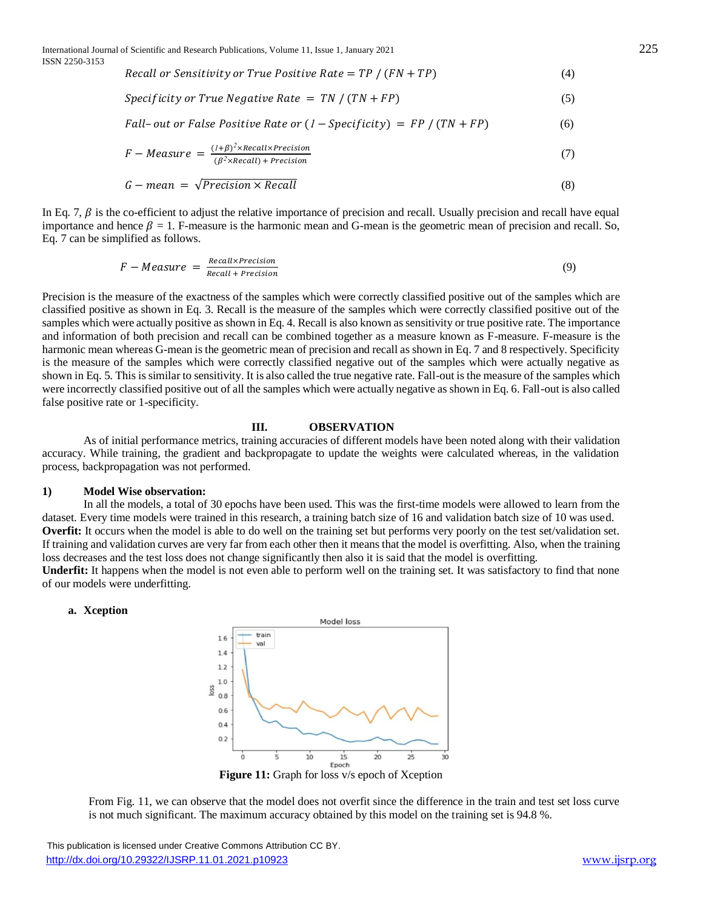Recall or Sensitivity or True Positive Rate =  $TP / (FN + TP)$  (4)

$$
Specificity or True Negative Rate = TN / (TN + FP)
$$
\n(5)

Fall-out or False Positive Rate or 
$$
(1 - Specificity) = FP / (TN + FP)
$$
 (6)

$$
F-Measure = \frac{(1+\beta)^2 \times Recall \times Precision}{(\beta^2 \times Recall) + Precision}
$$
 (7)

$$
G - mean = \sqrt{Precision \times Recall}
$$
\n(8)

In Eq. 7,  $\beta$  is the co-efficient to adjust the relative importance of precision and recall. Usually precision and recall have equal importance and hence  $\beta = 1$ . F-measure is the harmonic mean and G-mean is the geometric mean of precision and recall. So, Eq. 7 can be simplified as follows.

$$
F-Measure = \frac{Recall \times Precision}{Recall + Precision}
$$
 (9)

Precision is the measure of the exactness of the samples which were correctly classified positive out of the samples which are classified positive as shown in Eq. 3. Recall is the measure of the samples which were correctly classified positive out of the samples which were actually positive as shown in Eq. 4. Recall is also known as sensitivity or true positive rate. The importance and information of both precision and recall can be combined together as a measure known as F-measure. F-measure is the harmonic mean whereas G-mean is the geometric mean of precision and recall as shown in Eq. 7 and 8 respectively. Specificity is the measure of the samples which were correctly classified negative out of the samples which were actually negative as shown in Eq. 5. This is similar to sensitivity. It is also called the true negative rate. Fall-out is the measure of the samples which were incorrectly classified positive out of all the samples which were actually negative as shown in Eq. 6. Fall-out is also called false positive rate or 1-specificity.

#### **III. OBSERVATION**

As of initial performance metrics, training accuracies of different models have been noted along with their validation accuracy. While training, the gradient and backpropagate to update the weights were calculated whereas, in the validation process, backpropagation was not performed.

## **1) Model Wise observation:**

In all the models, a total of 30 epochs have been used. This was the first-time models were allowed to learn from the dataset. Every time models were trained in this research, a training batch size of 16 and validation batch size of 10 was used. **Overfit:** It occurs when the model is able to do well on the training set but performs very poorly on the test set/validation set. If training and validation curves are very far from each other then it means that the model is overfitting. Also, when the training loss decreases and the test loss does not change significantly then also it is said that the model is overfitting. **Underfit:** It happens when the model is not even able to perform well on the training set. It was satisfactory to find that none

of our models were underfitting.

#### **a. Xception**



**Figure 11:** Graph for loss v/s epoch of Xception

From Fig. 11, we can observe that the model does not overfit since the difference in the train and test set loss curve is not much significant. The maximum accuracy obtained by this model on the training set is 94.8 %.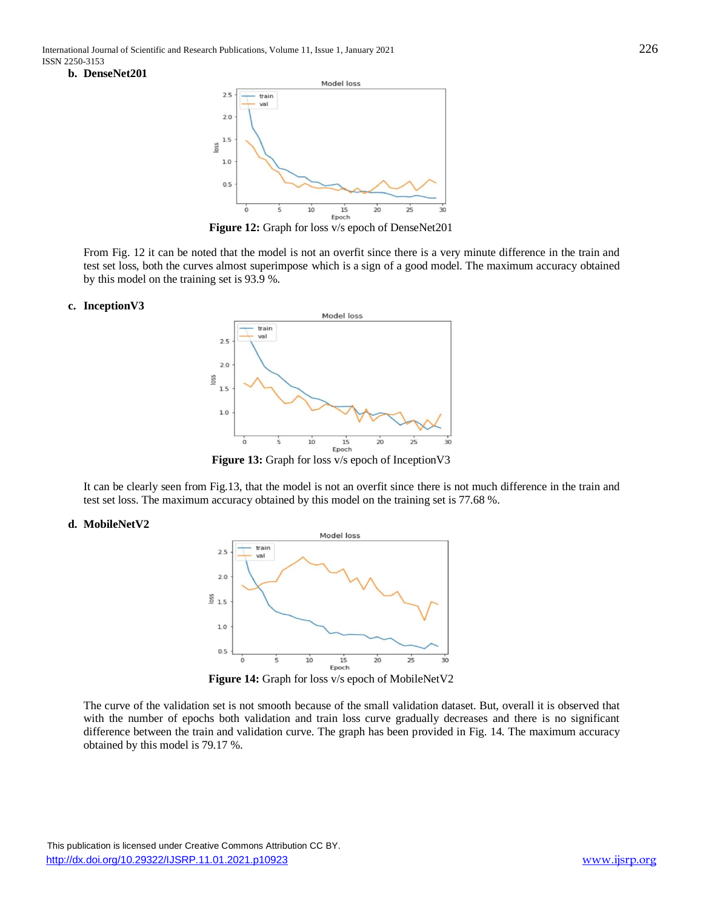#### **b. DenseNet201**



**Figure 12:** Graph for loss v/s epoch of DenseNet201

From Fig. 12 it can be noted that the model is not an overfit since there is a very minute difference in the train and test set loss, both the curves almost superimpose which is a sign of a good model. The maximum accuracy obtained by this model on the training set is 93.9 %.

#### **c. InceptionV3**



It can be clearly seen from Fig.13, that the model is not an overfit since there is not much difference in the train and test set loss. The maximum accuracy obtained by this model on the training set is 77.68 %.

#### **d. MobileNetV2**



**Figure 14:** Graph for loss v/s epoch of MobileNetV2

The curve of the validation set is not smooth because of the small validation dataset. But, overall it is observed that with the number of epochs both validation and train loss curve gradually decreases and there is no significant difference between the train and validation curve. The graph has been provided in Fig. 14. The maximum accuracy obtained by this model is 79.17 %.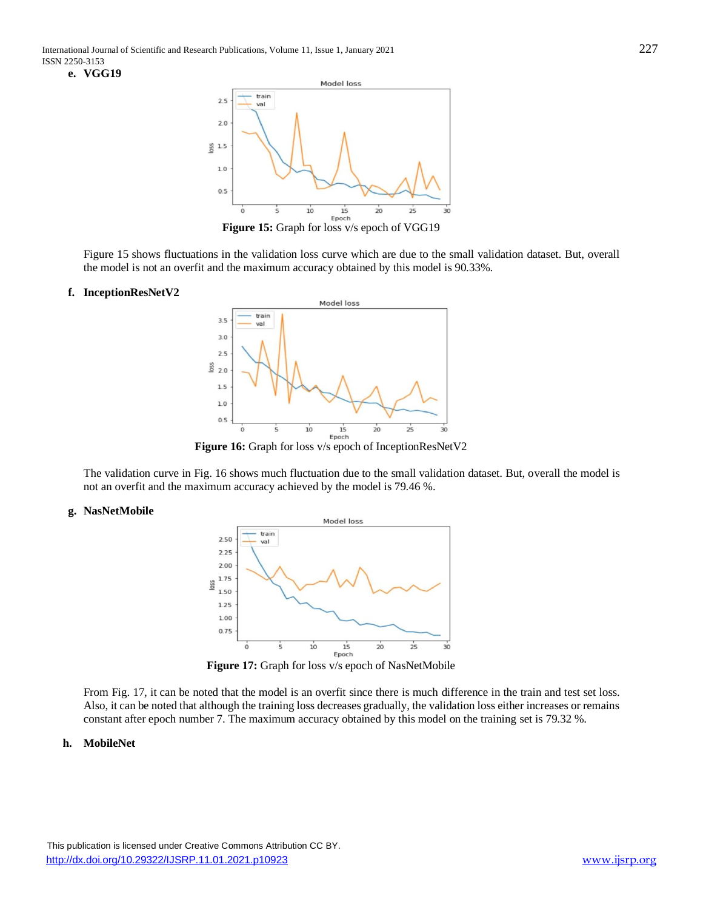

**Figure 15:** Graph for loss v/s epoch of VGG19

Figure 15 shows fluctuations in the validation loss curve which are due to the small validation dataset. But, overall the model is not an overfit and the maximum accuracy obtained by this model is 90.33%.

#### **f. InceptionResNetV2**



**Figure 16:** Graph for loss v/s epoch of InceptionResNetV2

The validation curve in Fig. 16 shows much fluctuation due to the small validation dataset. But, overall the model is not an overfit and the maximum accuracy achieved by the model is 79.46 %.

#### **g. NasNetMobile**



From Fig. 17, it can be noted that the model is an overfit since there is much difference in the train and test set loss. Also, it can be noted that although the training loss decreases gradually, the validation loss either increases or remains constant after epoch number 7. The maximum accuracy obtained by this model on the training set is 79.32 %.

## **h. MobileNet**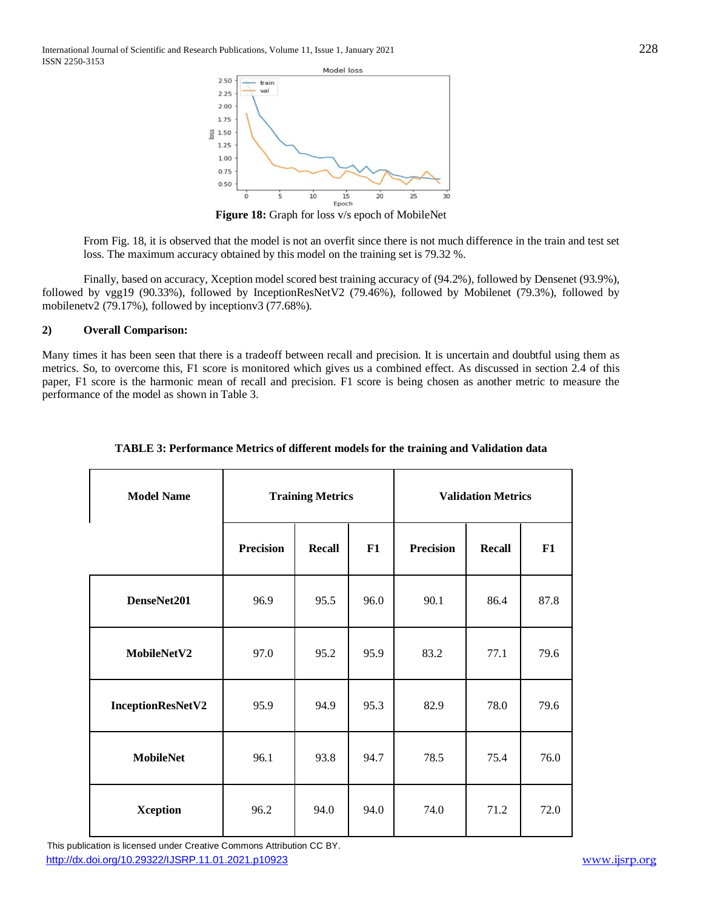

**Figure 18:** Graph for loss v/s epoch of MobileNet

From Fig. 18, it is observed that the model is not an overfit since there is not much difference in the train and test set loss. The maximum accuracy obtained by this model on the training set is 79.32 %.

Finally, based on accuracy, Xception model scored best training accuracy of (94.2%), followed by Densenet (93.9%), followed by vgg19 (90.33%), followed by InceptionResNetV2 (79.46%), followed by Mobilenet (79.3%), followed by mobilenetv2 (79.17%), followed by inceptionv3 (77.68%).

# **2) Overall Comparison:**

Many times it has been seen that there is a tradeoff between recall and precision. It is uncertain and doubtful using them as metrics. So, to overcome this, F1 score is monitored which gives us a combined effect. As discussed in section 2.4 of this paper, F1 score is the harmonic mean of recall and precision. F1 score is being chosen as another metric to measure the performance of the model as shown in Table 3.

| <b>Model Name</b> | <b>Training Metrics</b> |               |      |                  | <b>Validation Metrics</b> |      |
|-------------------|-------------------------|---------------|------|------------------|---------------------------|------|
|                   | <b>Precision</b>        | <b>Recall</b> | F1   | <b>Precision</b> | <b>Recall</b>             | F1   |
| DenseNet201       | 96.9                    | 95.5          | 96.0 | 90.1             | 86.4                      | 87.8 |
| MobileNetV2       | 97.0                    | 95.2          | 95.9 | 83.2             | 77.1                      | 79.6 |
| InceptionResNetV2 | 95.9                    | 94.9          | 95.3 | 82.9             | 78.0                      | 79.6 |
| <b>MobileNet</b>  | 96.1                    | 93.8          | 94.7 | 78.5             | 75.4                      | 76.0 |
| <b>Xception</b>   | 96.2                    | 94.0          | 94.0 | 74.0             | 71.2                      | 72.0 |

# **TABLE 3: Performance Metrics of different models for the training and Validation data**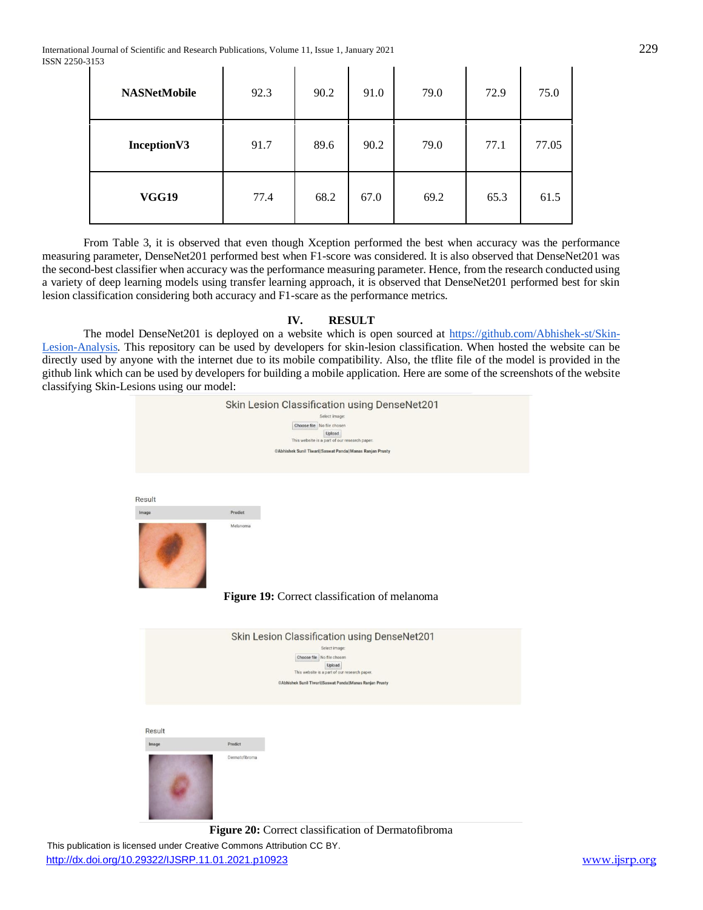International Journal of Scientific and Research Publications, Volume 11, Issue 1, January 2021 229 ISSN 2250-3153 **Contract Contract**  $\mathbf{r}$  $\mathbf{L}$  $\mathbf{r}$ 

| <b>NASNetMobile</b> | 92.3 | 90.2 | 91.0 | 79.0 | 72.9 | 75.0  |
|---------------------|------|------|------|------|------|-------|
| Inception V3        | 91.7 | 89.6 | 90.2 | 79.0 | 77.1 | 77.05 |
| <b>VGG19</b>        | 77.4 | 68.2 | 67.0 | 69.2 | 65.3 | 61.5  |

 $\mathbf{r}$ 

 $\mathbf{r}$ 

 $\mathbf{r}$ 

From Table 3, it is observed that even though Xception performed the best when accuracy was the performance measuring parameter, DenseNet201 performed best when F1-score was considered. It is also observed that DenseNet201 was the second-best classifier when accuracy was the performance measuring parameter. Hence, from the research conducted using a variety of deep learning models using transfer learning approach, it is observed that DenseNet201 performed best for skin lesion classification considering both accuracy and F1-scare as the performance metrics.

# **IV. RESULT**

The model DenseNet201 is deployed on a website which is open sourced at [https://github.com/Abhishek-st/Skin-](https://github.com/Abhishek-st/Skin-Lesion-Analysis)[Lesion-Analysis.](https://github.com/Abhishek-st/Skin-Lesion-Analysis) This repository can be used by developers for skin-lesion classification. When hosted the website can be directly used by anyone with the internet due to its mobile compatibility. Also, the tflite file of the model is provided in the github link which can be used by developers for building a mobile application. Here are some of the screenshots of the website classifying Skin-Lesions using our model:



**Figure 20:** Correct classification of Dermatofibroma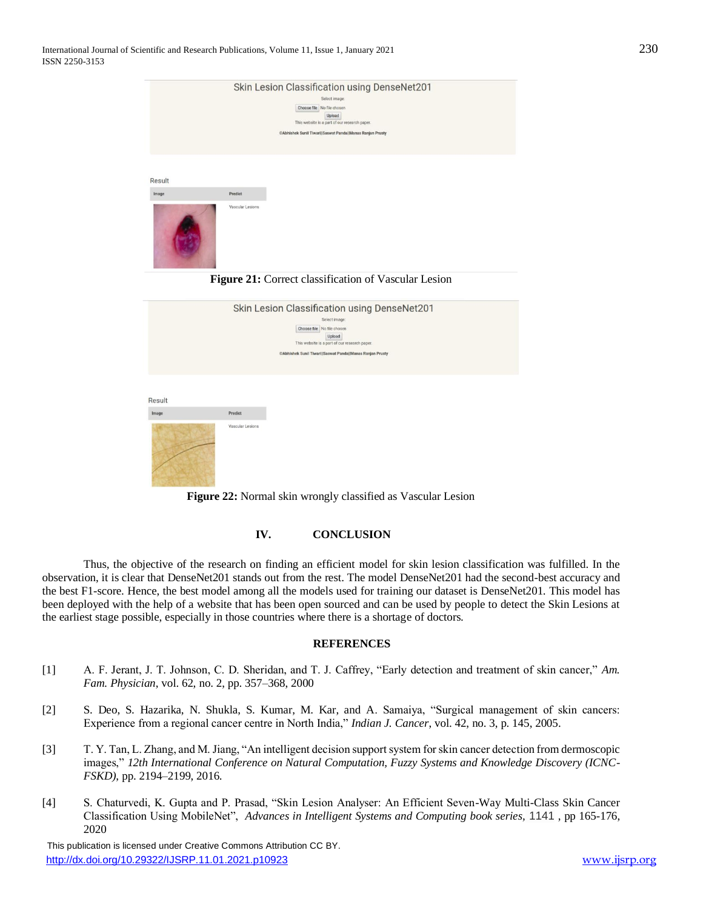|        | Skin Lesion Classification using DenseNet201              |
|--------|-----------------------------------------------------------|
|        | Select image:                                             |
|        | Choose file No file chosen                                |
|        | Upload<br>This website is a part of our research paper.   |
|        | ©Abhishek Sunil Tiwari  Saswat Panda  Manas Ranjan Prusty |
|        |                                                           |
|        |                                                           |
|        |                                                           |
| Result |                                                           |
| Image  | Predict                                                   |
|        | Vascular Lesions                                          |
|        | Figure 21: Correct classification of Vascular Lesion      |
|        |                                                           |
|        | Skin Lesion Classification using DenseNet201              |
|        | Select image:                                             |
|        | Choose file No file chosen                                |
|        | Upload<br>This website is a part of our research paper.   |
|        | ©Abhishek Sunil Tiwari  Saswat Panda  Manas Ranjan Prusty |
|        |                                                           |
|        |                                                           |
|        |                                                           |
| Result |                                                           |
| Image  | Predict                                                   |
|        | Vascular Lesions                                          |

**Figure 22:** Normal skin wrongly classified as Vascular Lesion

## **IV. CONCLUSION**

Thus, the objective of the research on finding an efficient model for skin lesion classification was fulfilled. In the observation, it is clear that DenseNet201 stands out from the rest. The model DenseNet201 had the second-best accuracy and the best F1-score. Hence, the best model among all the models used for training our dataset is DenseNet201. This model has been deployed with the help of a website that has been open sourced and can be used by people to detect the Skin Lesions at the earliest stage possible, especially in those countries where there is a shortage of doctors.

## **REFERENCES**

- [1] A. F. Jerant, J. T. Johnson, C. D. Sheridan, and T. J. Caffrey, "Early detection and treatment of skin cancer," *Am. Fam. Physician*, vol. 62, no. 2, pp. 357–368, 2000
- [2] S. Deo, S. Hazarika, N. Shukla, S. Kumar, M. Kar, and A. Samaiya, "Surgical management of skin cancers: Experience from a regional cancer centre in North India," *Indian J. Cancer*, vol. 42, no. 3, p. 145, 2005.
- [3] T. Y. Tan, L. Zhang, and M. Jiang, "An intelligent decision support system for skin cancer detection from dermoscopic images," *12th International Conference on Natural Computation, Fuzzy Systems and Knowledge Discovery (ICNC-FSKD)*, pp. 2194–2199, 2016.
- [4] S. Chaturvedi, K. Gupta and P. Prasad, "Skin Lesion Analyser: An Efficient Seven-Way Multi-Class Skin Cancer Classification Using MobileNet", *[Advances in Intelligent Systems and Computing](https://link.springer.com/bookseries/11156) book series,* 1141 , pp 165-176, 2020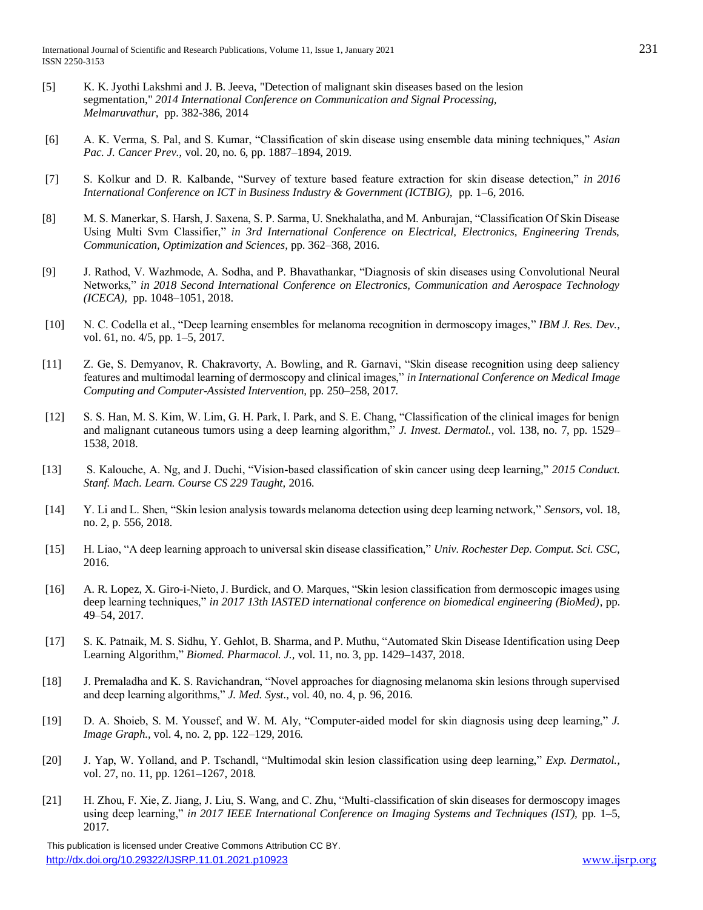- [5] K. K. Jyothi Lakshmi and J. B. Jeeva, "Detection of malignant skin diseases based on the lesion segmentation," *2014 International Conference on Communication and Signal Processing, Melmaruvathur,* pp. 382-386, 2014
- [6] A. K. Verma, S. Pal, and S. Kumar, "Classification of skin disease using ensemble data mining techniques," *Asian Pac. J. Cancer Prev.,* vol. 20, no. 6, pp. 1887–1894, 2019.
- [7] S. Kolkur and D. R. Kalbande, "Survey of texture based feature extraction for skin disease detection," *in 2016 International Conference on ICT in Business Industry & Government (ICTBIG),* pp. 1–6, 2016*.*
- [8] M. S. Manerkar, S. Harsh, J. Saxena, S. P. Sarma, U. Snekhalatha, and M. Anburajan, "Classification Of Skin Disease Using Multi Svm Classifier," *in 3rd International Conference on Electrical, Electronics, Engineering Trends, Communication, Optimization and Sciences,* pp. 362–368, 2016*.*
- [9] J. Rathod, V. Wazhmode, A. Sodha, and P. Bhavathankar, "Diagnosis of skin diseases using Convolutional Neural Networks," *in 2018 Second International Conference on Electronics, Communication and Aerospace Technology (ICECA),* pp. 1048–1051, 2018.
- [10] N. C. Codella et al., "Deep learning ensembles for melanoma recognition in dermoscopy images," *IBM J. Res. Dev.,*  vol. 61, no. 4/5, pp. 1–5, 2017*.*
- [11] Z. Ge, S. Demyanov, R. Chakravorty, A. Bowling, and R. Garnavi, "Skin disease recognition using deep saliency features and multimodal learning of dermoscopy and clinical images," *in International Conference on Medical Image Computing and Computer-Assisted Intervention,* pp. 250–258, 2017*.*
- [12] S. S. Han, M. S. Kim, W. Lim, G. H. Park, I. Park, and S. E. Chang, "Classification of the clinical images for benign and malignant cutaneous tumors using a deep learning algorithm," *J. Invest. Dermatol.,* vol. 138, no. 7, pp. 1529– 1538, 2018.
- [13] S. Kalouche, A. Ng, and J. Duchi, "Vision-based classification of skin cancer using deep learning," *2015 Conduct. Stanf. Mach. Learn. Course CS 229 Taught,* 2016*.*
- [14] Y. Li and L. Shen, "Skin lesion analysis towards melanoma detection using deep learning network," *Sensors,* vol. 18, no. 2, p. 556, 2018*.*
- [15] H. Liao, "A deep learning approach to universal skin disease classification," *Univ. Rochester Dep. Comput. Sci. CSC,* 2016*.*
- [16] A. R. Lopez, X. Giro-i-Nieto, J. Burdick, and O. Marques, "Skin lesion classification from dermoscopic images using deep learning techniques," *in 2017 13th IASTED international conference on biomedical engineering (BioMed)*, pp. 49–54, 2017*.*
- [17] S. K. Patnaik, M. S. Sidhu, Y. Gehlot, B. Sharma, and P. Muthu, "Automated Skin Disease Identification using Deep Learning Algorithm," *Biomed. Pharmacol. J.,* vol. 11, no. 3, pp. 1429–1437, 2018.
- [18] J. Premaladha and K. S. Ravichandran, "Novel approaches for diagnosing melanoma skin lesions through supervised and deep learning algorithms," *J. Med. Syst.,* vol. 40, no. 4, p. 96, 2016.
- [19] D. A. Shoieb, S. M. Youssef, and W. M. Aly, "Computer-aided model for skin diagnosis using deep learning," *J. Image Graph.,* vol. 4, no. 2, pp. 122–129, 2016*.*
- [20] J. Yap, W. Yolland, and P. Tschandl, "Multimodal skin lesion classification using deep learning," *Exp. Dermatol.,*  vol. 27, no. 11, pp. 1261–1267, 2018*.*
- [21] H. Zhou, F. Xie, Z. Jiang, J. Liu, S. Wang, and C. Zhu, "Multi-classification of skin diseases for dermoscopy images using deep learning," *in 2017 IEEE International Conference on Imaging Systems and Techniques (IST),* pp. 1–5, 2017*.*